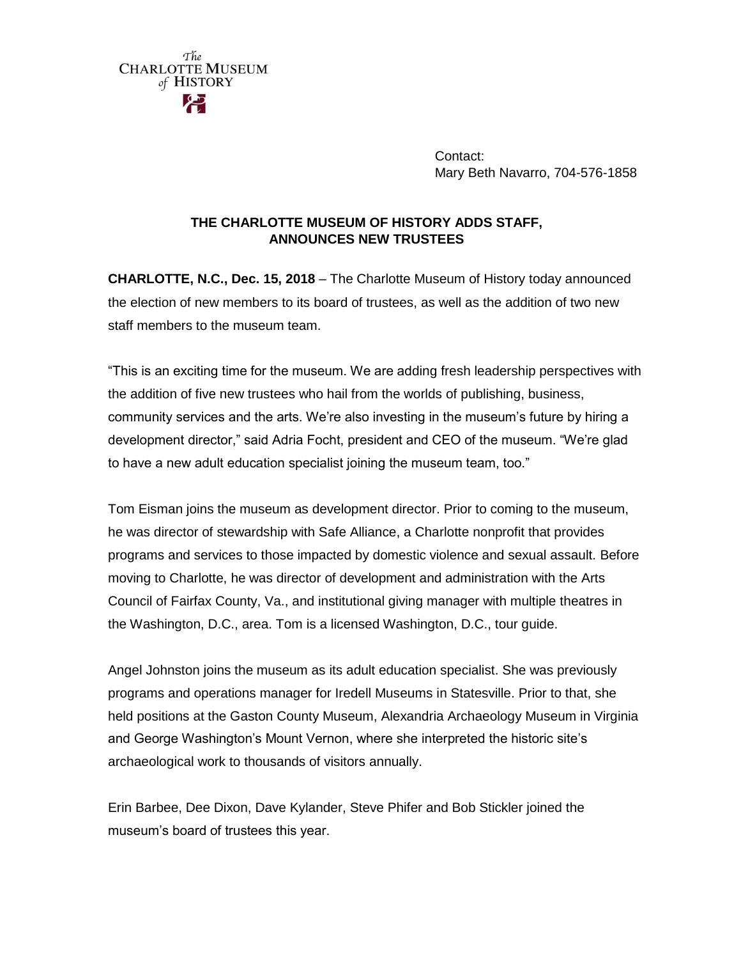

Contact: Mary Beth Navarro, 704-576-1858

## **THE CHARLOTTE MUSEUM OF HISTORY ADDS STAFF, ANNOUNCES NEW TRUSTEES**

**CHARLOTTE, N.C., Dec. 15, 2018** – The Charlotte Museum of History today announced the election of new members to its board of trustees, as well as the addition of two new staff members to the museum team.

"This is an exciting time for the museum. We are adding fresh leadership perspectives with the addition of five new trustees who hail from the worlds of publishing, business, community services and the arts. We're also investing in the museum's future by hiring a development director," said Adria Focht, president and CEO of the museum. "We're glad to have a new adult education specialist joining the museum team, too."

Tom Eisman joins the museum as development director. Prior to coming to the museum, he was director of stewardship with Safe Alliance, a Charlotte nonprofit that provides programs and services to those impacted by domestic violence and sexual assault. Before moving to Charlotte, he was director of development and administration with the Arts Council of Fairfax County, Va., and institutional giving manager with multiple theatres in the Washington, D.C., area. Tom is a licensed Washington, D.C., tour guide.

Angel Johnston joins the museum as its adult education specialist. She was previously programs and operations manager for Iredell Museums in Statesville. Prior to that, she held positions at the Gaston County Museum, Alexandria Archaeology Museum in Virginia and George Washington's Mount Vernon, where she interpreted the historic site's archaeological work to thousands of visitors annually.

Erin Barbee, Dee Dixon, Dave Kylander, Steve Phifer and Bob Stickler joined the museum's board of trustees this year.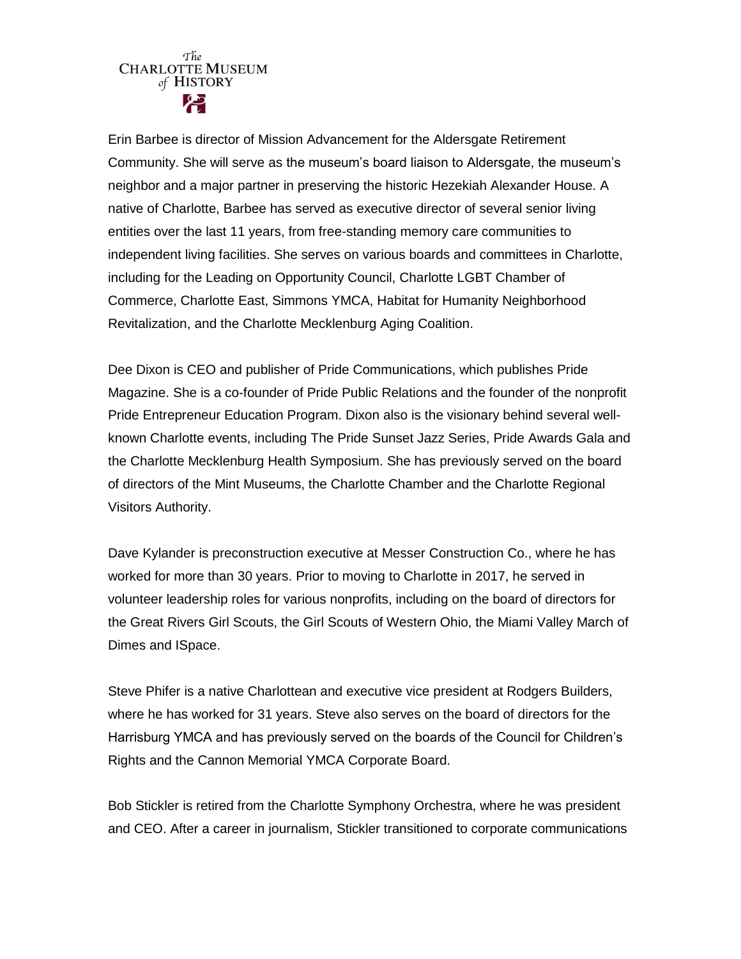## The **CHARLOTTE MUSEUM** of HISTORY

Erin Barbee is director of Mission Advancement for the Aldersgate Retirement Community. She will serve as the museum's board liaison to Aldersgate, the museum's neighbor and a major partner in preserving the historic Hezekiah Alexander House. A native of Charlotte, Barbee has served as executive director of several senior living entities over the last 11 years, from free-standing memory care communities to independent living facilities. She serves on various boards and committees in Charlotte, including for the Leading on Opportunity Council, Charlotte LGBT Chamber of Commerce, Charlotte East, Simmons YMCA, Habitat for Humanity Neighborhood Revitalization, and the Charlotte Mecklenburg Aging Coalition.

Dee Dixon is CEO and publisher of Pride Communications, which publishes Pride Magazine. She is a co-founder of Pride Public Relations and the founder of the nonprofit Pride Entrepreneur Education Program. Dixon also is the visionary behind several wellknown Charlotte events, including The Pride Sunset Jazz Series, Pride Awards Gala and the Charlotte Mecklenburg Health Symposium. She has previously served on the board of directors of the Mint Museums, the Charlotte Chamber and the Charlotte Regional Visitors Authority.

Dave Kylander is preconstruction executive at Messer Construction Co., where he has worked for more than 30 years. Prior to moving to Charlotte in 2017, he served in volunteer leadership roles for various nonprofits, including on the board of directors for the Great Rivers Girl Scouts, the Girl Scouts of Western Ohio, the Miami Valley March of Dimes and ISpace.

Steve Phifer is a native Charlottean and executive vice president at Rodgers Builders, where he has worked for 31 years. Steve also serves on the board of directors for the Harrisburg YMCA and has previously served on the boards of the Council for Children's Rights and the Cannon Memorial YMCA Corporate Board.

Bob Stickler is retired from the Charlotte Symphony Orchestra, where he was president and CEO. After a career in journalism, Stickler transitioned to corporate communications